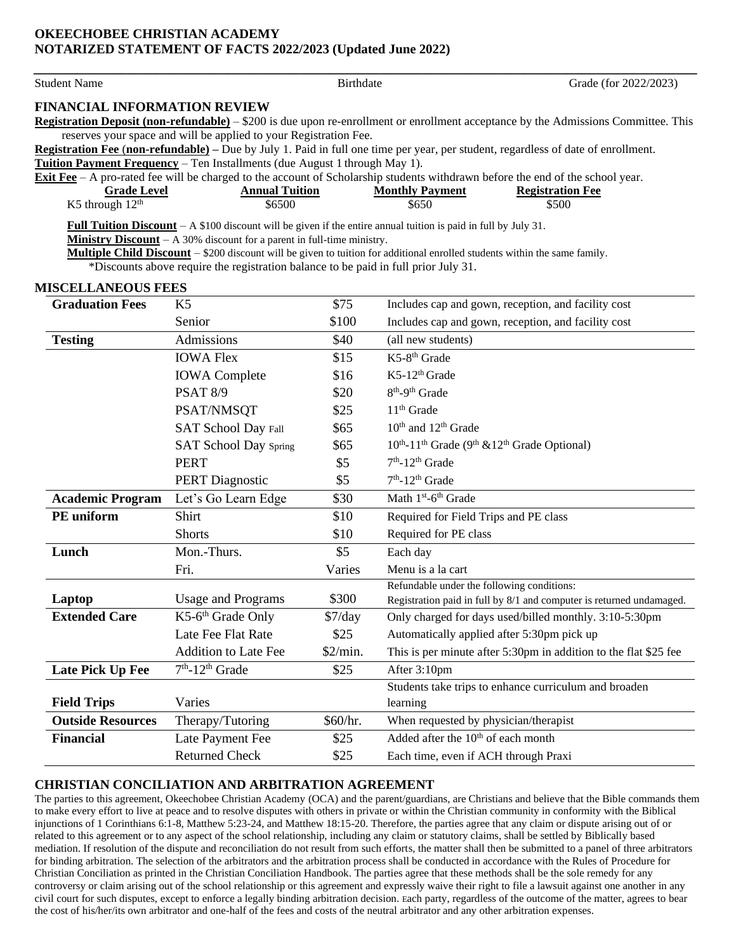## **OKEECHOBEE CHRISTIAN ACADEMY NOTARIZED STATEMENT OF FACTS 2022/2023 (Updated June 2022)**

| <b>Student Name</b>                     | <b>Birthdate</b>                                                                                                                                                                                                      |       |                                                                                              | Grade (for 2022/2023)                                                                                                                     |
|-----------------------------------------|-----------------------------------------------------------------------------------------------------------------------------------------------------------------------------------------------------------------------|-------|----------------------------------------------------------------------------------------------|-------------------------------------------------------------------------------------------------------------------------------------------|
| <b>FINANCIAL INFORMATION REVIEW</b>     |                                                                                                                                                                                                                       |       |                                                                                              |                                                                                                                                           |
|                                         |                                                                                                                                                                                                                       |       |                                                                                              | <b>Registration Deposit (non-refundable)</b> – \$200 is due upon re-enrollment or enrollment acceptance by the Admissions Committee. This |
|                                         | reserves your space and will be applied to your Registration Fee.                                                                                                                                                     |       |                                                                                              |                                                                                                                                           |
|                                         |                                                                                                                                                                                                                       |       |                                                                                              | Registration Fee (non-refundable) – Due by July 1. Paid in full one time per year, per student, regardless of date of enrollment.         |
|                                         | Tuition Payment Frequency - Ten Installments (due August 1 through May 1).                                                                                                                                            |       |                                                                                              |                                                                                                                                           |
|                                         |                                                                                                                                                                                                                       |       |                                                                                              | <b>Exit Fee</b> $-$ A pro-rated fee will be charged to the account of Scholarship students withdrawn before the end of the school year.   |
| <b>Grade Level</b><br>K5 through $12th$ | <b>Annual Tuition</b><br>\$6500                                                                                                                                                                                       |       | <b>Monthly Payment</b><br>\$650                                                              | <b>Registration Fee</b><br>\$500                                                                                                          |
|                                         |                                                                                                                                                                                                                       |       |                                                                                              |                                                                                                                                           |
|                                         | <b>Full Tuition Discount</b> $-A $100$ discount will be given if the entire annual tuition is paid in full by July 31.                                                                                                |       |                                                                                              |                                                                                                                                           |
|                                         | <b>Ministry Discount</b> $- A 30\%$ discount for a parent in full-time ministry.<br><b>Multiple Child Discount</b> – \$200 discount will be given to tuition for additional enrolled students within the same family. |       |                                                                                              |                                                                                                                                           |
|                                         | *Discounts above require the registration balance to be paid in full prior July 31.                                                                                                                                   |       |                                                                                              |                                                                                                                                           |
|                                         |                                                                                                                                                                                                                       |       |                                                                                              |                                                                                                                                           |
| <b>MISCELLANEOUS FEES</b>               |                                                                                                                                                                                                                       |       |                                                                                              |                                                                                                                                           |
| <b>Graduation Fees</b>                  | K <sub>5</sub>                                                                                                                                                                                                        | \$75  | Includes cap and gown, reception, and facility cost                                          |                                                                                                                                           |
|                                         | Senior                                                                                                                                                                                                                | \$100 |                                                                                              | Includes cap and gown, reception, and facility cost                                                                                       |
| <b>Testing</b>                          | Admissions                                                                                                                                                                                                            | \$40  | (all new students)                                                                           |                                                                                                                                           |
|                                         | <b>IOWA Flex</b>                                                                                                                                                                                                      | \$15  | $K$ 5-8 <sup>th</sup> Grade                                                                  |                                                                                                                                           |
|                                         | <b>IOWA</b> Complete                                                                                                                                                                                                  | \$16  | $K$ 5-12 <sup>th</sup> Grade                                                                 |                                                                                                                                           |
|                                         | <b>PSAT 8/9</b>                                                                                                                                                                                                       | \$20  | 8 <sup>th</sup> -9 <sup>th</sup> Grade                                                       |                                                                                                                                           |
|                                         | PSAT/NMSQT                                                                                                                                                                                                            | \$25  | $11th$ Grade                                                                                 |                                                                                                                                           |
|                                         | <b>SAT School Day Fall</b>                                                                                                                                                                                            | \$65  | 10 <sup>th</sup> and 12 <sup>th</sup> Grade                                                  |                                                                                                                                           |
|                                         | <b>SAT School Day Spring</b>                                                                                                                                                                                          | \$65  | 10 <sup>th</sup> -11 <sup>th</sup> Grade (9 <sup>th</sup> & 12 <sup>th</sup> Grade Optional) |                                                                                                                                           |
|                                         | <b>PERT</b>                                                                                                                                                                                                           | \$5   | $7th - 12th$ Grade                                                                           |                                                                                                                                           |

|                          | PERT.                       | \$5                            | $7m$ -12 <sup>m</sup> Grade                                          |
|--------------------------|-----------------------------|--------------------------------|----------------------------------------------------------------------|
|                          | <b>PERT Diagnostic</b>      | \$5                            | $7th - 12th$ Grade                                                   |
| <b>Academic Program</b>  | Let's Go Learn Edge         | \$30                           | Math $1st$ -6 <sup>th</sup> Grade                                    |
| PE uniform               | Shirt                       | \$10                           | Required for Field Trips and PE class                                |
|                          | <b>Shorts</b>               | \$10                           | Required for PE class                                                |
| Lunch                    | Mon.-Thurs.                 | \$5                            | Each day                                                             |
|                          | Fri.                        | Varies                         | Menu is a la cart                                                    |
|                          |                             |                                | Refundable under the following conditions:                           |
| Laptop                   | <b>Usage and Programs</b>   | \$300                          | Registration paid in full by 8/1 and computer is returned undamaged. |
| <b>Extended Care</b>     | $K5-6th$ Grade Only         | $\frac{\text{S7}}{\text{day}}$ | Only charged for days used/billed monthly. 3:10-5:30pm               |
|                          | Late Fee Flat Rate          | \$25                           | Automatically applied after 5:30pm pick up                           |
|                          | <b>Addition to Late Fee</b> | \$2/min.                       | This is per minute after 5:30pm in addition to the flat \$25 fee     |
| Late Pick Up Fee         | $7th - 12th$ Grade          | \$25                           | After 3:10pm                                                         |
|                          |                             |                                | Students take trips to enhance curriculum and broaden                |
| <b>Field Trips</b>       | Varies                      |                                | learning                                                             |
| <b>Outside Resources</b> | Therapy/Tutoring            | \$60/hr.                       | When requested by physician/therapist                                |
| <b>Financial</b>         | Late Payment Fee            | \$25                           | Added after the 10 <sup>th</sup> of each month                       |
|                          | <b>Returned Check</b>       | \$25                           | Each time, even if ACH through Praxi                                 |
|                          |                             |                                |                                                                      |

## **CHRISTIAN CONCILIATION AND ARBITRATION AGREEMENT**

The parties to this agreement, Okeechobee Christian Academy (OCA) and the parent/guardians, are Christians and believe that the Bible commands them to make every effort to live at peace and to resolve disputes with others in private or within the Christian community in conformity with the Biblical injunctions of 1 Corinthians 6:1-8, Matthew 5:23-24, and Matthew 18:15-20. Therefore, the parties agree that any claim or dispute arising out of or related to this agreement or to any aspect of the school relationship, including any claim or statutory claims, shall be settled by Biblically based mediation. If resolution of the dispute and reconciliation do not result from such efforts, the matter shall then be submitted to a panel of three arbitrators for binding arbitration. The selection of the arbitrators and the arbitration process shall be conducted in accordance with the Rules of Procedure for Christian Conciliation as printed in the Christian Conciliation Handbook. The parties agree that these methods shall be the sole remedy for any controversy or claim arising out of the school relationship or this agreement and expressly waive their right to file a lawsuit against one another in any civil court for such disputes, except to enforce a legally binding arbitration decision. Each party, regardless of the outcome of the matter, agrees to bear the cost of his/her/its own arbitrator and one-half of the fees and costs of the neutral arbitrator and any other arbitration expenses.